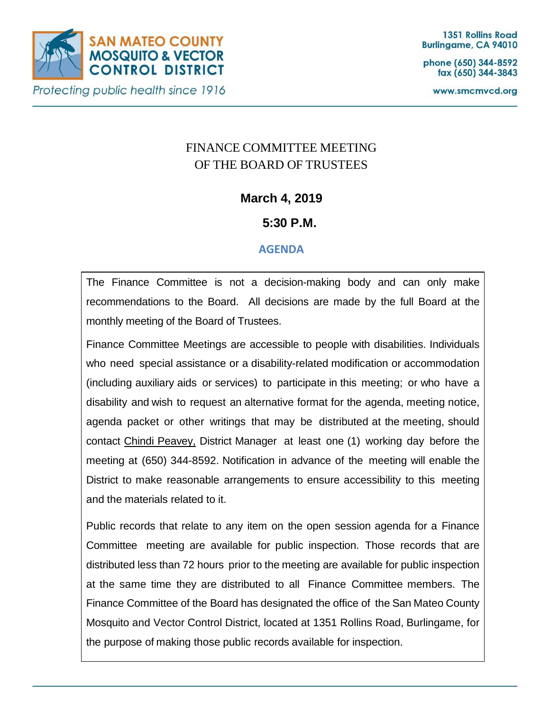

phone (650) 344-8592 fax (650) 344-3843

www.smcmvcd.org

# FINANCE COMMITTEE MEETING OF THE BOARD OF TRUSTEES

## **March 4, 2019**

## **5:30 P.M.**

### **AGENDA**

The Finance Committee is not a decision-making body and can only make recommendations to the Board. All decisions are made by the full Board at the monthly meeting of the Board of Trustees.

Finance Committee Meetings are accessible to people with disabilities. Individuals who need special assistance or a disability-related modification or accommodation (including auxiliary aids or services) to participate in this meeting; or who have a disability and wish to request an alternative format for the agenda, meeting notice, agenda packet or other writings that may be distributed at the meeting, should contact Chindi Peavey, District Manager at least one (1) working day before the meeting at (650) 344-8592. Notification in advance of the meeting will enable the District to make reasonable arrangements to ensure accessibility to this meeting and the materials related to it.

Public records that relate to any item on the open session agenda for a Finance Committee meeting are available for public inspection. Those records that are distributed less than 72 hours prior to the meeting are available for public inspection at the same time they are distributed to all Finance Committee members. The Finance Committee of the Board has designated the office of the San Mateo County Mosquito and Vector Control District, located at 1351 Rollins Road, Burlingame, for the purpose of making those public records available for inspection.